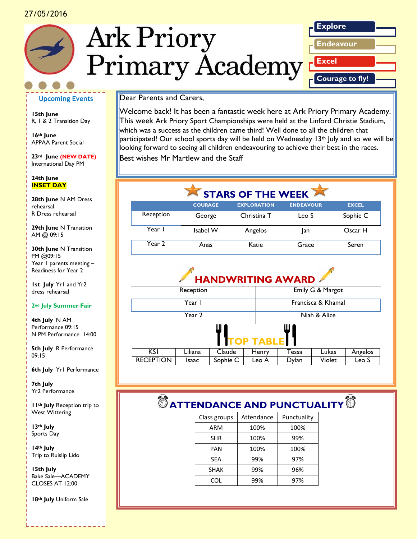#### 27/05/2016







#### **Upcoming Events**

**15th June** R, 1 & 2 Transition Day

**16th June** APPAA Parent Social

**23rd June (NEW DATE)** International Day PM

#### **24th June INSET DAY**

*Caption describing picture or graphic.* **28th June** N AM Dress rehearsal R Dress rehearsal

**29th June** N Transition AM @ 09:15

**30th June N Transition** PM @09:15 Year 1 parents meeting – Readiness for Year 2

**1st July** Yr1 and Yr2 dress rehearsal

#### **2nd July Summer Fair**

**4th July** N AM Performance 09:15 N PM Performance 14:00

**5th July** R Performance 09:15

**6th July** Yr1 Performance

**7th July** Yr2 Performance

**11th July** Reception trip to West Wittering

**13th July** Sports Day

**14th July** Trip to Ruislip Lido

**15th July** Bake Sale—ACADEMY CLOSES AT 12:00

**18th July** Uniform Sale

#### Dear Parents and Carers,

Welcome back! It has been a fantastic week here at Ark Priory Primary Academy. This week Ark Priory Sport Championships were held at the Linford Christie Stadium, which was a success as the children came third! Well done to all the children that participated! Our school sports day will be held on Wednesday  $13<sup>th</sup>$  July and so we will be looking forward to seeing all children endeavouring to achieve their best in the races. Best wishes Mr Martlew and the Staff

## STARS OF THE WEEK

|           | <b>COURAGE</b> | <b>EXPLORATION</b> | <b>ENDEAVOUR</b> | <b>EXCEL</b> |
|-----------|----------------|--------------------|------------------|--------------|
| Reception | George         | Christina T        | Leo S            | Sophie C     |
| Year I    | Isabel W       | Angelos            | Jan              | Oscar H      |
| Year 2    | Anas           | Katie              | Grace            | Seren        |

# **HANDWRITING AWARD**

| Reception        |         |          |       | Emily G & Margot   |        |         |
|------------------|---------|----------|-------|--------------------|--------|---------|
| Year I           |         |          |       | Francisca & Khamal |        |         |
| Year 2           |         |          |       | Niah & Alice       |        |         |
| Ш<br>TOP TABLE 1 |         |          |       |                    |        |         |
| KS I             | Liliana | Claude   | Henry | Tessa              | Lukas  | Angelos |
| <b>RECEPTION</b> | Isaac   | Sophie C | Leo A | Dylan              | Violet | Leo S   |

# $\bullet$  **ATTENDANCE AND PUNCTUALITY**  $\bullet$

| Class groups | Attendance | Punctuality |
|--------------|------------|-------------|
| ARM          | 100%       | 100%        |
| <b>SHR</b>   | 100%       | 99%         |
| PAN          | 100%       | 100%        |
| SEA          | 99%        | 97%         |
| <b>SHAK</b>  | 99%        | 96%         |
| COL          | 99%        | 97%         |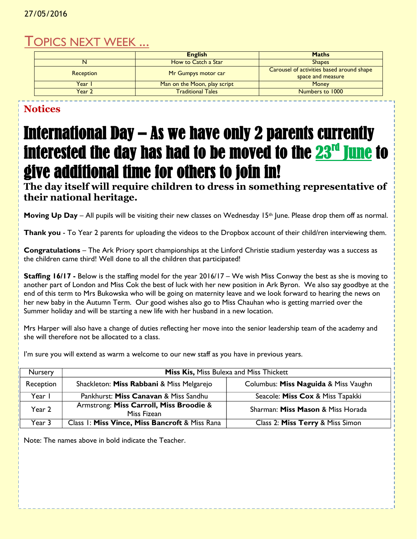#### 27/05/2016

### TOPICS NEXT WEEK ...

|                  | <b>English</b>               | <b>Maths</b>                              |  |
|------------------|------------------------------|-------------------------------------------|--|
|                  | How to Catch a Star          | <b>Shapes</b>                             |  |
| <b>Reception</b> | Mr Gumpys motor car          | Carousel of activities based around shape |  |
|                  |                              | space and measure                         |  |
| Year I           | Man on the Moon, play script | <b>Money</b>                              |  |
| Year 2           | <b>Traditional Tales</b>     | Numbers to 1000                           |  |

### **Notices**

# International Day – As we have only 2 parents currently interested the day has had to be moved to the <mark>23<sup>rd</sup> June</mark> to give additional time for others to join in!

**The day itself will require children to dress in something representative of their national heritage.** 

**Moving Up Day** – All pupils will be visiting their new classes on Wednesday 15<sup>th</sup> June. Please drop them off as normal.

**Thank you** - To Year 2 parents for uploading the videos to the Dropbox account of their child/ren interviewing them.

**Congratulations** – The Ark Priory sport championships at the Linford Christie stadium yesterday was a success as the children came third! Well done to all the children that participated!

**Staffing 16/17 -** Below is the staffing model for the year 2016/17 – We wish Miss Conway the best as she is moving to another part of London and Miss Cok the best of luck with her new position in Ark Byron. We also say goodbye at the end of this term to Mrs Bukowska who will be going on maternity leave and we look forward to hearing the news on her new baby in the Autumn Term. Our good wishes also go to Miss Chauhan who is getting married over the Summer holiday and will be starting a new life with her husband in a new location.

Mrs Harper will also have a change of duties reflecting her move into the senior leadership team of the academy and she will therefore not be allocated to a class.

I'm sure you will extend as warm a welcome to our new staff as you have in previous years.

| <b>Nursery</b> | <b>Miss Kis, Miss Bulexa and Miss Thickett</b>         |                                      |  |
|----------------|--------------------------------------------------------|--------------------------------------|--|
| Reception      | Shackleton: Miss Rabbani & Miss Melgarejo              | Columbus: Miss Naguida & Miss Vaughn |  |
| Year I         | Pankhurst: Miss Canavan & Miss Sandhu                  | Seacole: Miss Cox & Miss Tapakki     |  |
| Year 2         | Armstrong: Miss Carroll, Miss Broodie &<br>Miss Fizean | Sharman: Miss Mason & Miss Horada    |  |
| Year 3         | Class 1: Miss Vince, Miss Bancroft & Miss Rana         | Class 2: Miss Terry & Miss Simon     |  |

Note: The names above in bold indicate the Teacher.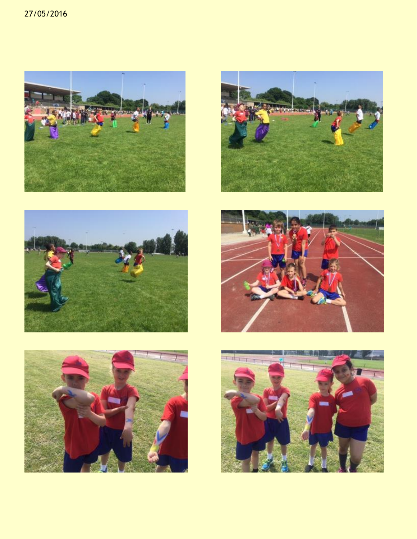#### 27/05/2016











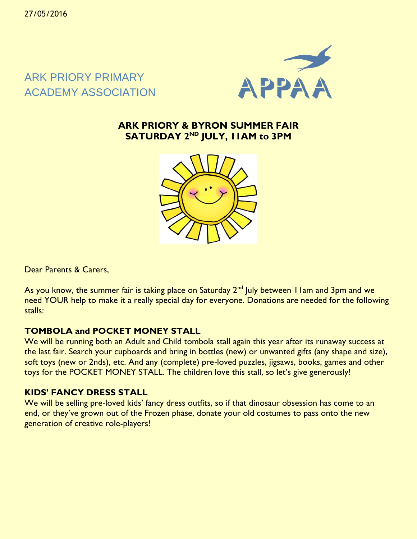### ARK PRIORY PRIMARY ACADEMY ASSOCIATION



### **ARK PRIORY & BYRON SUMMER FAIR SATURDAY 2ND JULY, 11AM to 3PM**



Dear Parents & Carers,

As you know, the summer fair is taking place on Saturday 2<sup>nd</sup> July between I I am and 3pm and we need YOUR help to make it a really special day for everyone. Donations are needed for the following stalls:

### **TOMBOLA and POCKET MONEY STALL**

We will be running both an Adult and Child tombola stall again this year after its runaway success at the last fair. Search your cupboards and bring in bottles (new) or unwanted gifts (any shape and size), soft toys (new or 2nds), etc. And any (complete) pre-loved puzzles, jigsaws, books, games and other toys for the POCKET MONEY STALL. The children love this stall, so let's give generously!

### **KIDS' FANCY DRESS STALL**

We will be selling pre-loved kids' fancy dress outfits, so if that dinosaur obsession has come to an end, or they've grown out of the Frozen phase, donate your old costumes to pass onto the new generation of creative role-players!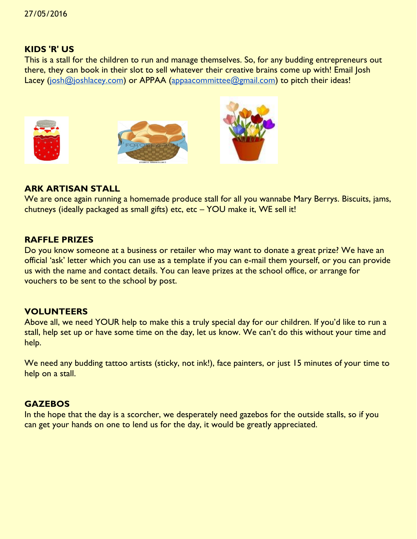#### **KIDS 'R' US**

This is a stall for the children to run and manage themselves. So, for any budding entrepreneurs out there, they can book in their slot to sell whatever their creative brains come up with! Email Josh Lacey [\(josh@joshlacey.com\)](mailto:josh@joshlacey.com) or APPAA [\(appaacommittee@gmail.com\)](mailto:appaacommittee@gmail.com) to pitch their ideas!







#### **ARK ARTISAN STALL**

We are once again running a homemade produce stall for all you wannabe Mary Berrys. Biscuits, jams, chutneys (ideally packaged as small gifts) etc, etc – YOU make it, WE sell it!

#### **RAFFLE PRIZES**

Do you know someone at a business or retailer who may want to donate a great prize? We have an official 'ask' letter which you can use as a template if you can e-mail them yourself, or you can provide us with the name and contact details. You can leave prizes at the school office, or arrange for vouchers to be sent to the school by post.

### **VOLUNTEERS**

Above all, we need YOUR help to make this a truly special day for our children. If you'd like to run a stall, help set up or have some time on the day, let us know. We can't do this without your time and help.

We need any budding tattoo artists (sticky, not ink!), face painters, or just 15 minutes of your time to help on a stall.

#### **GAZEBOS**

In the hope that the day is a scorcher, we desperately need gazebos for the outside stalls, so if you can get your hands on one to lend us for the day, it would be greatly appreciated.